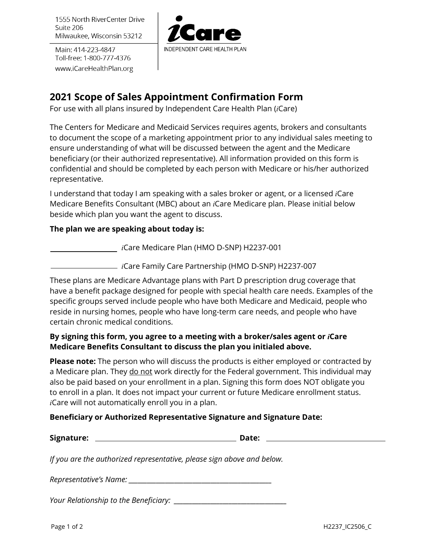1555 North RiverCenter Drive Suite 206 Milwaukee, Wisconsin 53212

Main: 414-223-4847 Toll-free: 1-800-777-4376 www.iCareHealthPlan.org



# **2021 Scope of Sales Appointment Confirmation Form**

For use with all plans insured by Independent Care Health Plan (*i*Care)

The Centers for Medicare and Medicaid Services requires agents, brokers and consultants to document the scope of a marketing appointment prior to any individual sales meeting to ensure understanding of what will be discussed between the agent and the Medicare beneficiary (or their authorized representative). All information provided on this form is confidential and should be completed by each person with Medicare or his/her authorized representative.

I understand that today I am speaking with a sales broker or agent, or a licensed *i*Care Medicare Benefits Consultant (MBC) about an *i*Care Medicare plan. Please initial below beside which plan you want the agent to discuss.

#### **The plan we are speaking about today is:**

*i*Care Medicare Plan (HMO D-SNP) H2237-001

*i*Care Family Care Partnership (HMO D-SNP) H2237-007

These plans are Medicare Advantage plans with Part D prescription drug coverage that have a benefit package designed for people with special health care needs. Examples of the specific groups served include people who have both Medicare and Medicaid, people who reside in nursing homes, people who have long-term care needs, and people who have certain chronic medical conditions.

## **By signing this form, you agree to a meeting with a broker/sales agent or** *i***Care Medicare Benefits Consultant to discuss the plan you initialed above.**

**Please note:** The person who will discuss the products is either employed or contracted by a Medicare plan. They do not work directly for the Federal government. This individual may also be paid based on your enrollment in a plan. Signing this form does NOT obligate you to enroll in a plan. It does not impact your current or future Medicare enrollment status. *i*Care will not automatically enroll you in a plan.

## **Beneficiary or Authorized Representative Signature and Signature Date:**

*If you are the authorized representative, please sign above and below.* 

*Representative's Name: \_\_\_\_\_\_\_\_\_\_\_\_\_\_\_\_\_\_\_\_\_\_\_\_\_\_\_\_\_\_\_\_\_\_\_\_\_\_\_\_\_\_\_\_\_\_\_*

*Your Relationship to the Beneficiary: \_\_\_\_\_\_\_\_\_\_\_\_\_\_\_\_\_\_\_\_\_\_\_\_\_\_\_\_\_\_\_\_\_\_\_\_\_*